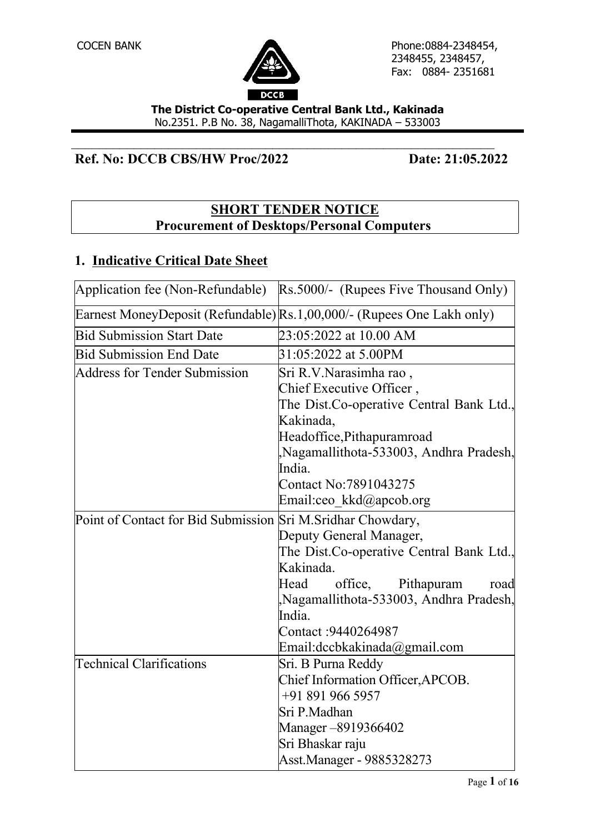

**The District Co-operative Central Bank Ltd., Kakinada** No.2351. P.B No. 38, NagamalliThota, KAKINADA – 533003

 $\mathcal{L}_\text{max}$  , and the contract of the contract of the contract of the contract of the contract of the contract of the contract of the contract of the contract of the contract of the contract of the contract of the contr

## **Ref. No: DCCB CBS/HW Proc/2022** Date: 21:05.2022

### **SHORT TENDER NOTICE Procurement of Desktops/Personal Computers**

#### **1. Indicative Critical Date Sheet**

| Application fee (Non-Refundable)                             | Rs.5000/- (Rupees Five Thousand Only)                                  |
|--------------------------------------------------------------|------------------------------------------------------------------------|
|                                                              | Earnest MoneyDeposit (Refundable) Rs.1,00,000/- (Rupees One Lakh only) |
| <b>Bid Submission Start Date</b>                             | 23:05:2022 at 10.00 AM                                                 |
| <b>Bid Submission End Date</b>                               | 31:05:2022 at 5.00PM                                                   |
| Address for Tender Submission                                | Sri R.V. Narasimha rao,                                                |
|                                                              | Chief Executive Officer,                                               |
|                                                              | The Dist.Co-operative Central Bank Ltd.,                               |
|                                                              | Kakinada,                                                              |
|                                                              | Headoffice, Pithapuramroad                                             |
|                                                              | Nagamallithota-533003, Andhra Pradesh,                                 |
|                                                              | India.                                                                 |
|                                                              | Contact No:7891043275                                                  |
|                                                              | Email:ceo_kkd@apcob.org                                                |
| Point of Contact for Bid Submission Sri M. Sridhar Chowdary, |                                                                        |
|                                                              | Deputy General Manager,                                                |
|                                                              | The Dist.Co-operative Central Bank Ltd.,                               |
|                                                              | Kakinada.                                                              |
|                                                              | Head<br>office.<br>Pithapuram<br>road                                  |
|                                                              | Nagamallithota-533003, Andhra Pradesh,                                 |
|                                                              | India.                                                                 |
|                                                              | Contact: 9440264987                                                    |
|                                                              | Email:dccbkakinada@gmail.com                                           |
| <b>Technical Clarifications</b>                              | Sri. B Purna Reddy                                                     |
|                                                              | Chief Information Officer, APCOB.                                      |
|                                                              | +91 891 966 5957                                                       |
|                                                              | Sri P.Madhan                                                           |
|                                                              | Manager – 891 936 6402                                                 |
|                                                              | Sri Bhaskar raju                                                       |
|                                                              | Asst.Manager - 9885328273                                              |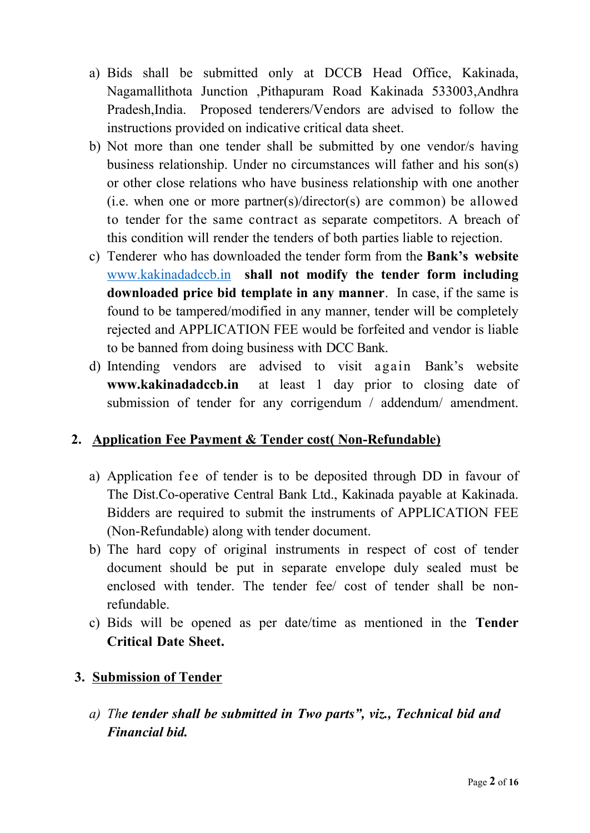- a) Bids shall be submitted only at DCCB Head Office, Kakinada, Nagamallithota Junction ,Pithapuram Road Kakinada 533003,Andhra Pradesh,India. Proposed tenderers/Vendors are advised to follow the instructions provided on indicative critical data sheet.
- b) Not more than one tender shall be submitted by one vendor/s having business relationship. Under no circumstances will father and his son(s) or other close relations who have business relationship with one another (i.e. when one or more partner(s)/director(s) are common) be allowed to tender for the same contract as separate competitors. A breach of this condition will render the tenders of both parties liable to rejection.
- c) Tenderer who has downloaded the tender form from the **Bank's website**  www.kakinadadccb.in **shall not modify the tender form including downloaded price bid template in any manner**. In case, if the same is found to be tampered/modified in any manner, tender will be completely rejected and APPLICATION FEE would be forfeited and vendor is liable to be banned from doing business with DCC Bank.<br>d) Intending vendors are advised to visit again Bank's website
- **www.kakinadadccb.in** at least 1 day prior to closing date of submission of tender for any corrigendum / addendum/ amendment.

## **2. Application Fee Payment & Tender cost( Non-Refundable)**

- a) Application fee of tender is to be deposited through DD in favour of The Dist.Co-operative Central Bank Ltd., Kakinada payable at Kakinada. Bidders are required to submit the instruments of APPLICATION FEE (Non-Refundable) along with tender document.
- b) The hard copy of original instruments in respect of cost of tender document should be put in separate envelope duly sealed must be enclosed with tender. The tender fee/ cost of tender shall be nonrefundable.
- c) Bids will be opened as per date/time as mentioned in the **Tender Critical Date Sheet.**

## **3. Submission of Tender**

*a) The tender shall be submitted in Two parts", viz., Technical bid and Financial bid.*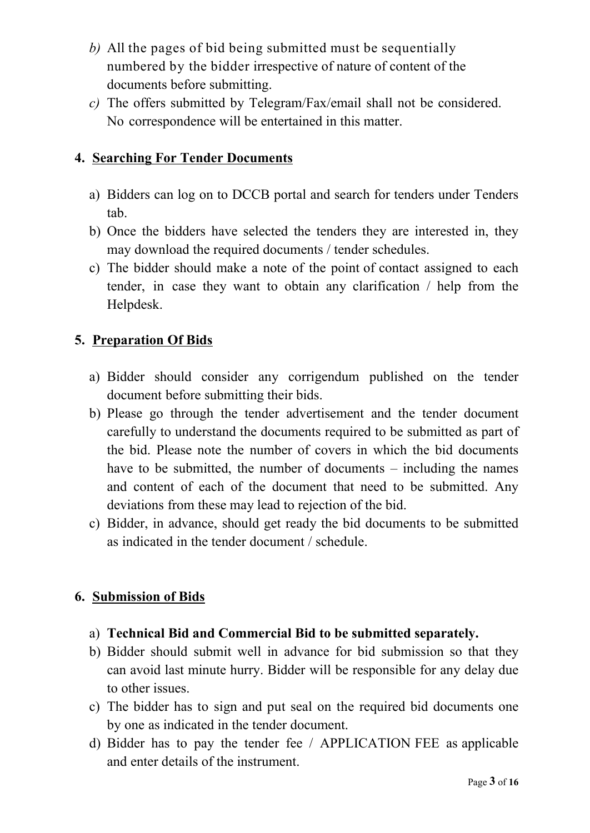- *b)* All the pages of bid being submitted must be sequentially numbered by the bidder irrespective of nature of content of the documents before submitting.
- *c)* The offers submitted by Telegram/Fax/email shall not be considered. No correspondence will be entertained in this matter.

## **4. Searching For Tender Documents**

- a) Bidders can log on to DCCB portal and search for tenders under Tenders tab.
- b) Once the bidders have selected the tenders they are interested in, they may download the required documents / tender schedules.
- c) The bidder should make a note of the point of contact assigned to each tender, in case they want to obtain any clarification / help from the Helpdesk.

## **5. Preparation Of Bids**

- a) Bidder should consider any corrigendum published on the tender document before submitting their bids.
- b) Please go through the tender advertisement and the tender document carefully to understand the documents required to be submitted as part of the bid. Please note the number of covers in which the bid documents have to be submitted, the number of documents – including the names and content of each of the document that need to be submitted. Any deviations from these may lead to rejection of the bid.
- c) Bidder, in advance, should get ready the bid documents to be submitted as indicated in the tender document / schedule.

## **6. Submission of Bids**

- a) **Technical Bid and Commercial Bid to be submitted separately.**
- b) Bidder should submit well in advance for bid submission so that they can avoid last minute hurry. Bidder will be responsible for any delay due to other issues.
- c) The bidder has to sign and put seal on the required bid documents one by one as indicated in the tender document.
- d) Bidder has to pay the tender fee / APPLICATION FEE as applicable and enter details of the instrument.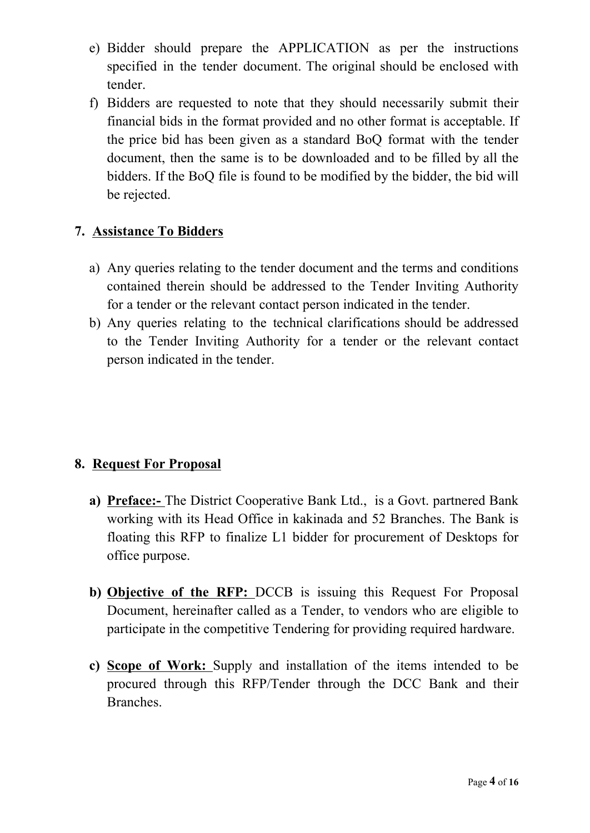- e) Bidder should prepare the APPLICATION as per the instructions specified in the tender document. The original should be enclosed with tender.
- f) Bidders are requested to note that they should necessarily submit their financial bids in the format provided and no other format is acceptable. If the price bid has been given as a standard BoQ format with the tender document, then the same is to be downloaded and to be filled by all the bidders. If the BoQ file is found to be modified by the bidder, the bid will be rejected.

#### **7. Assistance To Bidders**

- a) Any queries relating to the tender document and the terms and conditions contained therein should be addressed to the Tender Inviting Authority for a tender or the relevant contact person indicated in the tender.
- b) Any queries relating to the technical clarifications should be addressed to the Tender Inviting Authority for a tender or the relevant contact person indicated in the tender.

## **8. Request For Proposal**

- **a) Preface:-** The District Cooperative Bank Ltd., is a Govt. partnered Bank working with its Head Office in kakinada and 52 Branches. The Bank is floating this RFP to finalize L1 bidder for procurement of Desktops for office purpose.
- **b) Objective of the RFP:** DCCB is issuing this Request For Proposal Document, hereinafter called as a Tender, to vendors who are eligible to participate in the competitive Tendering for providing required hardware.
- **c) Scope of Work:** Supply and installation of the items intended to be procured through this RFP/Tender through the DCC Bank and their Branches.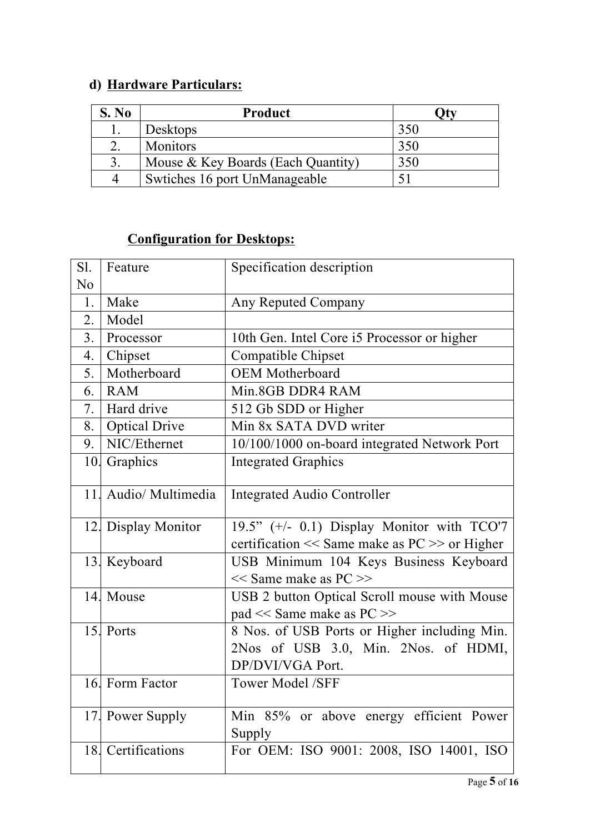# **d) Hardware Particulars:**

| S. No | Product                            |     |
|-------|------------------------------------|-----|
|       | Desktops                           | 350 |
|       | <b>Monitors</b>                    | 350 |
|       | Mouse & Key Boards (Each Quantity) | 350 |
|       | Swtiches 16 port UnManageable      |     |

## **Configuration for Desktops:**

| Sl.            | Feature              | Specification description                                                                                |  |  |
|----------------|----------------------|----------------------------------------------------------------------------------------------------------|--|--|
| N <sub>0</sub> |                      |                                                                                                          |  |  |
| 1.             | Make                 | Any Reputed Company                                                                                      |  |  |
| 2.             | Model                |                                                                                                          |  |  |
| 3 <sub>1</sub> | Processor            | 10th Gen. Intel Core i5 Processor or higher                                                              |  |  |
| 4.             | Chipset              | Compatible Chipset                                                                                       |  |  |
| 5.             | Motherboard          | <b>OEM</b> Motherboard                                                                                   |  |  |
| 6.             | <b>RAM</b>           | Min.8GB DDR4 RAM                                                                                         |  |  |
| 7.             | Hard drive           | 512 Gb SDD or Higher                                                                                     |  |  |
| 8.             | <b>Optical Drive</b> | Min 8x SATA DVD writer                                                                                   |  |  |
| 9.             | NIC/Ethernet         | 10/100/1000 on-board integrated Network Port                                                             |  |  |
|                | 10. Graphics         | <b>Integrated Graphics</b>                                                                               |  |  |
| 11.            | Audio/ Multimedia    | <b>Integrated Audio Controller</b>                                                                       |  |  |
|                | 12. Display Monitor  | 19.5" (+/- 0.1) Display Monitor with TCO'7<br>certification << Same make as PC >> or Higher              |  |  |
|                | 13. Keyboard         | USB Minimum 104 Keys Business Keyboard<br>$<<$ Same make as PC $>>$                                      |  |  |
|                | 14. Mouse            | USB 2 button Optical Scroll mouse with Mouse<br>pad << Same make as PC >>                                |  |  |
|                | 15. Ports            | 8 Nos. of USB Ports or Higher including Min.<br>2Nos of USB 3.0, Min. 2Nos. of HDMI,<br>DP/DVI/VGA Port. |  |  |
|                | 16. Form Factor      | Tower Model /SFF                                                                                         |  |  |
|                | 17. Power Supply     | Min 85% or above energy efficient Power<br>Supply                                                        |  |  |
| 18.            | Certifications       | For OEM: ISO 9001: 2008, ISO 14001, ISO                                                                  |  |  |
|                |                      |                                                                                                          |  |  |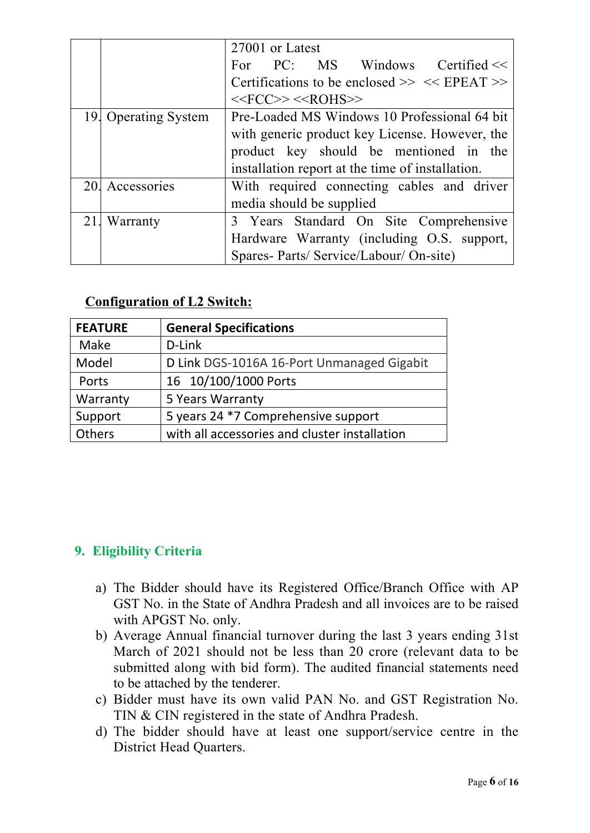|                      | 27001 or Latest                                    |  |  |
|----------------------|----------------------------------------------------|--|--|
|                      | PC: MS Windows<br>Certified $<<$<br>For            |  |  |
|                      | Certifications to be enclosed $\gg$ << EPEAT $\gg$ |  |  |
|                      | $<<$ FCC>> $<<$ ROHS>>                             |  |  |
| 19. Operating System | Pre-Loaded MS Windows 10 Professional 64 bit       |  |  |
|                      | with generic product key License. However, the     |  |  |
|                      | product key should be mentioned in the             |  |  |
|                      | installation report at the time of installation.   |  |  |
| 20. Accessories      | With required connecting cables and driver         |  |  |
|                      | media should be supplied                           |  |  |
| 21. Warranty         | 3 Years Standard On Site Comprehensive             |  |  |
|                      | Hardware Warranty (including O.S. support,         |  |  |
|                      | Spares- Parts/ Service/Labour/ On-site)            |  |  |

#### **Configuration of L2 Switch:**

| <b>FEATURE</b> | <b>General Specifications</b>                 |  |
|----------------|-----------------------------------------------|--|
| Make           | D-Link                                        |  |
| Model          | D Link DGS-1016A 16-Port Unmanaged Gigabit    |  |
| Ports          | 16 10/100/1000 Ports                          |  |
| Warranty       | 5 Years Warranty                              |  |
| Support        | 5 years 24 *7 Comprehensive support           |  |
| <b>Others</b>  | with all accessories and cluster installation |  |

## **9. Eligibility Criteria**

- a) The Bidder should have its Registered Office/Branch Office with AP GST No. in the State of Andhra Pradesh and all invoices are to be raised with APGST No. only.
- b) Average Annual financial turnover during the last 3 years ending 31st March of 2021 should not be less than 20 crore (relevant data to be submitted along with bid form). The audited financial statements need to be attached by the tenderer.
- c) Bidder must have its own valid PAN No. and GST Registration No. TIN & CIN registered in the state of Andhra Pradesh.
- d) The bidder should have at least one support/service centre in the District Head Quarters.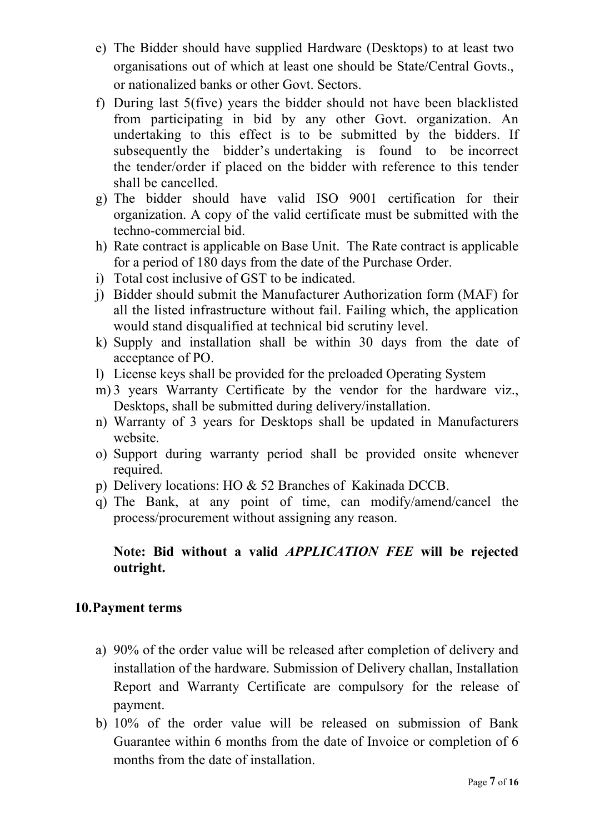- e) The Bidder should have supplied Hardware (Desktops) to at least two organisations out of which at least one should be State/Central Govts., or nationalized banks or other Govt. Sectors.
- f) During last 5(five) years the bidder should not have been blacklisted from participating in bid by any other Govt. organization. An undertaking to this effect is to be submitted by the bidders. If subsequently the bidder's undertaking is found to be incorrect the tender/order if placed on the bidder with reference to this tender shall be cancelled.
- g) The bidder should have valid ISO 9001 certification for their organization. A copy of the valid certificate must be submitted with the techno-commercial bid.
- h) Rate contract is applicable on Base Unit. The Rate contract is applicable for a period of 180 days from the date of the Purchase Order.
- i) Total cost inclusive of GST to be indicated.
- j) Bidder should submit the Manufacturer Authorization form (MAF) for all the listed infrastructure without fail. Failing which, the application would stand disqualified at technical bid scrutiny level.
- k) Supply and installation shall be within 30 days from the date of acceptance of PO.
- l) License keys shall be provided for the preloaded Operating System
- m) 3 years Warranty Certificate by the vendor for the hardware viz., Desktops, shall be submitted during delivery/installation.
- n) Warranty of 3 years for Desktops shall be updated in Manufacturers website.
- o) Support during warranty period shall be provided onsite whenever required.
- p) Delivery locations: HO & 52 Branches of Kakinada DCCB.
- q) The Bank, at any point of time, can modify/amend/cancel the process/procurement without assigning any reason.

## **Note: Bid without a valid** *APPLICATION FEE* **will be rejected outright.**

#### **10.Payment terms**

- a) 90% of the order value will be released after completion of delivery and installation of the hardware. Submission of Delivery challan, Installation Report and Warranty Certificate are compulsory for the release of payment.
- b) 10% of the order value will be released on submission of Bank Guarantee within 6 months from the date of Invoice or completion of 6 months from the date of installation.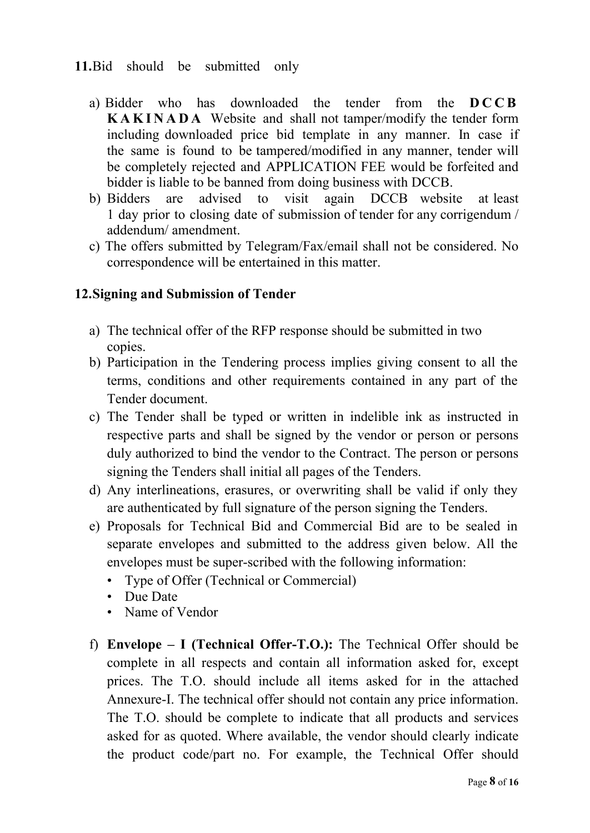#### **11.**Bid should be submitted only

- a) Bidder who has downloaded the tender from the **D C C B K A K I N A D A** Website and shall not tamper/modify the tender form including downloaded price bid template in any manner. In case if the same is found to be tampered/modified in any manner, tender will be completely rejected and APPLICATION FEE would be forfeited and bidder is liable to be banned from doing business with DCCB.
- b) Bidders are advised to visit again DCCB website at least 1 day prior to closing date of submission of tender for any corrigendum / addendum/ amendment.
- c) The offers submitted by Telegram/Fax/email shall not be considered. No correspondence will be entertained in this matter.

#### **12.Signing and Submission of Tender**

- a) The technical offer of the RFP response should be submitted in two copies.
- b) Participation in the Tendering process implies giving consent to all the terms, conditions and other requirements contained in any part of the Tender document.
- c) The Tender shall be typed or written in indelible ink as instructed in respective parts and shall be signed by the vendor or person or persons duly authorized to bind the vendor to the Contract. The person or persons signing the Tenders shall initial all pages of the Tenders.
- d) Any interlineations, erasures, or overwriting shall be valid if only they are authenticated by full signature of the person signing the Tenders.
- e) Proposals for Technical Bid and Commercial Bid are to be sealed in separate envelopes and submitted to the address given below. All the envelopes must be super-scribed with the following information:
	- Type of Offer (Technical or Commercial)<br>• Due Date<br>• Name of Vendor
	-
	-
- f) **Envelope I (Technical Offer-T.O.):** The Technical Offer should be complete in all respects and contain all information asked for, except prices. The T.O. should include all items asked for in the attached Annexure-I. The technical offer should not contain any price information. The T.O. should be complete to indicate that all products and services asked for as quoted. Where available, the vendor should clearly indicate the product code/part no. For example, the Technical Offer should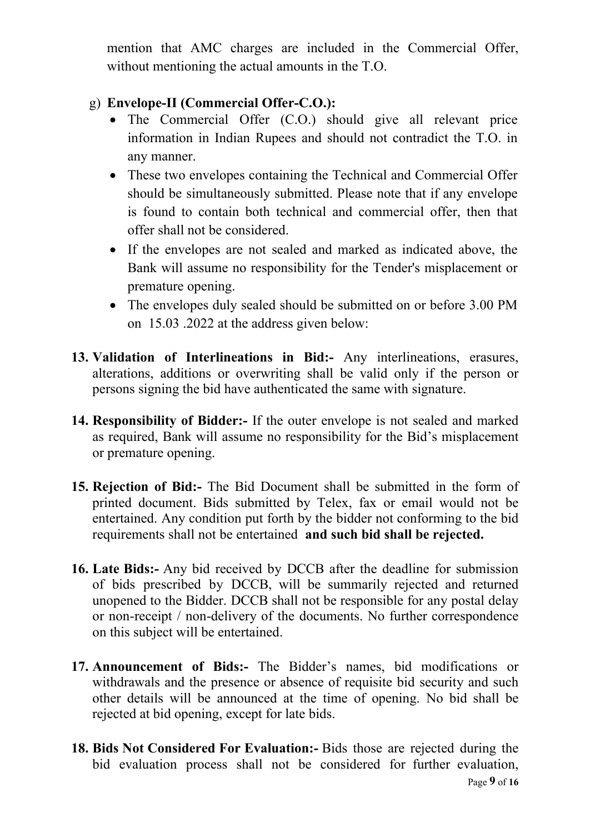mention that AMC charges are included in the Commercial Offer, without mentioning the actual amounts in the T.O.

#### g) **Envelope-II (Commercial Offer-C.O.):**

- The Commercial Offer (C.O.) should give all relevant price information in Indian Rupees and should not contradict the T.O. in any manner.
- These two envelopes containing the Technical and Commercial Offer should be simultaneously submitted. Please note that if any envelope is found to contain both technical and commercial offer, then that offer shall not be considered.
- If the envelopes are not sealed and marked as indicated above, the Bank will assume no responsibility for the Tender's misplacement or premature opening.
- The envelopes duly sealed should be submitted on or before 3.00 PM on 15.03 .2022 at the address given below:
- **13. Validation of Interlineations in Bid:-** Any interlineations, erasures, alterations, additions or overwriting shall be valid only if the person or persons signing the bid have authenticated the same with signature.
- **14. Responsibility of Bidder:-** If the outer envelope is not sealed and marked as required, Bank will assume no responsibility for the Bid's misplacement or premature opening.
- **15. Rejection of Bid:-** The Bid Document shall be submitted in the form of printed document. Bids submitted by Telex, fax or email would not be entertained. Any condition put forth by the bidder not conforming to the bid requirements shall not be entertained and such bid shall be rejected.
- **16. Late Bids:-** Any bid received by DCCB after the deadline for submission of bids prescribed by DCCB, will be summarily rejected and returned unopened to the Bidder. DCCB shall not be responsible for any postal delay or non-receipt / non-delivery of the documents. No further correspondence on this subject will be entertained.
- **17. Announcement of Bids:-** The Bidder's names, bid modifications or withdrawals and the presence or absence of requisite bid security and such other details will be announced at the time of opening. No bid shall be rejected at bid opening, except for late bids.
- **18. Bids Not Considered For Evaluation:-** Bids those are rejected during the bid evaluation process shall not be considered for further evaluation,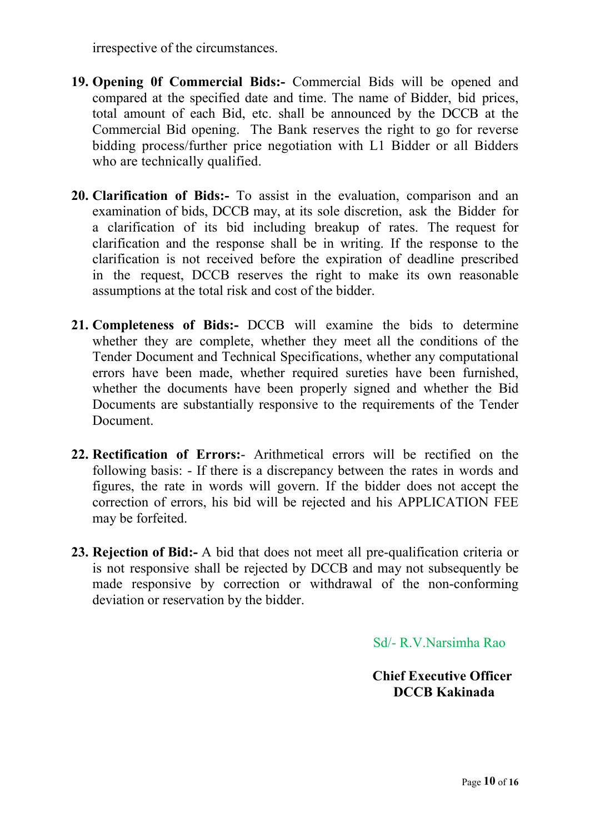irrespective of the circumstances.

- 19. **Opening 0f Commercial Bids:** Commercial Bids will be opened and compared at the specified date and time. The name of Bidder, bid prices, total amount of each Bid, etc. shall be announced by the DCCB at the Commercial Bid opening. The Bank reserves the right to go for reverse bidding process/further price negotiation with L1 Bidder or all Bidders who are technically qualified.
- **20. Clarification of Bids:-** To assist in the evaluation, comparison and an examination of bids, DCCB may, at its sole discretion, ask the Bidder for a clarification of its bid including breakup of rates. The request for clarification and the response shall be in writing. If the response to the clarification is not received before the expiration of deadline prescribed in the request, DCCB reserves the right to make its own reasonable assumptions at the total risk and cost of the bidder.
- **21. Completeness of Bids:-** DCCB will examine the bids to determine whether they are complete, whether they meet all the conditions of the Tender Document and Technical Specifications, whether any computational errors have been made, whether required sureties have been furnished, whether the documents have been properly signed and whether the Bid Documents are substantially responsive to the requirements of the Tender Document.
- **22. Rectification of Errors:** Arithmetical errors will be rectified on the following basis: - If there is a discrepancy between the rates in words and figures, the rate in words will govern. If the bidder does not accept the correction of errors, his bid will be rejected and his APPLICATION FEE may be forfeited.
- **23. Rejection of Bid:-** A bid that does not meet all pre-qualification criteria or is not responsive shall be rejected by DCCB and may not subsequently be made responsive by correction or withdrawal of the non-conforming deviation or reservation by the bidder.

Sd/- R.V.Narsimha Rao

 **Chief Executive Officer DCCB Kakinada**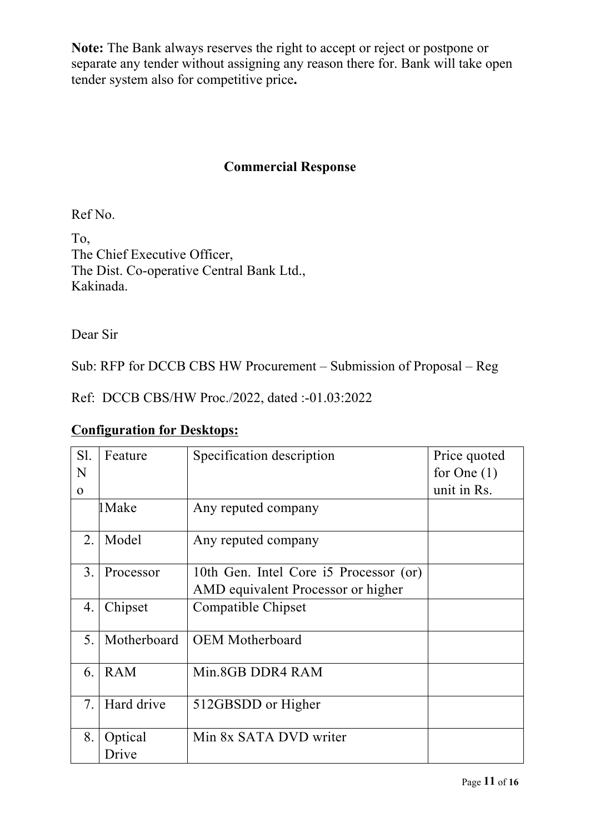**Note:** The Bank always reserves the right to accept or reject or postpone or separate any tender without assigning any reason there for. Bank will take open tender system also for competitive price**.**

### **Commercial Response**

Ref No.

To, The Chief Executive Officer, The Dist. Co-operative Central Bank Ltd., Kakinada.

Dear Sir

Sub: RFP for DCCB CBS HW Procurement – Submission of Proposal – Reg

Ref: DCCB CBS/HW Proc./2022, dated :-01.03:2022

## **Configuration for Desktops:**

| Sl.         | Feature     | Specification description<br>Price quoted |               |  |
|-------------|-------------|-------------------------------------------|---------------|--|
| N           |             |                                           | for One $(1)$ |  |
| $\mathbf 0$ |             |                                           | unit in Rs.   |  |
|             | 1 Make      | Any reputed company                       |               |  |
| 2.          | Model       | Any reputed company                       |               |  |
| 3.          | Processor   | 10th Gen. Intel Core i5 Processor (or)    |               |  |
|             |             | AMD equivalent Processor or higher        |               |  |
| 4.          | Chipset     | Compatible Chipset                        |               |  |
| 5.          | Motherboard | <b>OEM</b> Motherboard                    |               |  |
| 6.          | <b>RAM</b>  | Min.8GB DDR4 RAM                          |               |  |
| 7.          | Hard drive  | 512GBSDD or Higher                        |               |  |
| 8.          | Optical     | Min 8x SATA DVD writer                    |               |  |
|             | Drive       |                                           |               |  |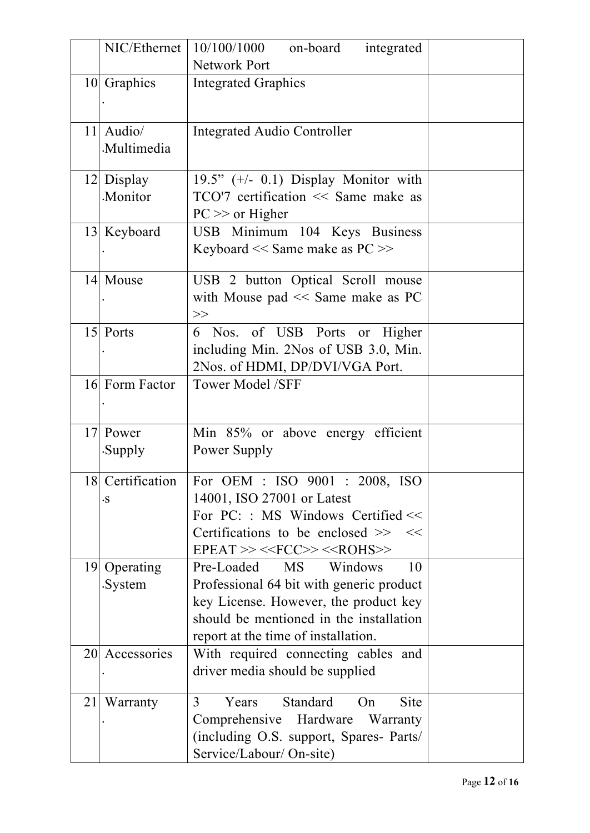|                 | NIC/Ethernet           | 10/100/1000<br>on-board<br>integrated<br>Network Port                                                                                                                                                                   |  |
|-----------------|------------------------|-------------------------------------------------------------------------------------------------------------------------------------------------------------------------------------------------------------------------|--|
|                 | 10 Graphics            | <b>Integrated Graphics</b>                                                                                                                                                                                              |  |
| 11 <sup> </sup> | Audio/<br>Multimedia   | <b>Integrated Audio Controller</b>                                                                                                                                                                                      |  |
|                 | 12 Display<br>Monitor. | 19.5" $(+/- 0.1)$ Display Monitor with<br>TCO'7 certification $\ll$ Same make as<br>$PC \gg$ or Higher                                                                                                                  |  |
|                 | 13 Keyboard            | USB Minimum 104 Keys Business<br>Keyboard << Same make as PC >>                                                                                                                                                         |  |
|                 | 14 Mouse               | USB 2 button Optical Scroll mouse<br>with Mouse pad $<<$ Same make as PC<br>>>                                                                                                                                          |  |
|                 | 15 Ports               | 6 Nos. of USB Ports or Higher<br>including Min. 2Nos of USB 3.0, Min.<br>2Nos. of HDMI, DP/DVI/VGA Port.                                                                                                                |  |
|                 | 16 Form Factor         | <b>Tower Model /SFF</b>                                                                                                                                                                                                 |  |
|                 | 17 Power<br>.Supply    | Min 85% or above energy efficient<br>Power Supply                                                                                                                                                                       |  |
|                 | $\cdot$ S              | 18 Certification   For OEM : ISO 9001 : 2008, ISO<br>14001, ISO 27001 or Latest<br>For $PC:$ : MS Windows Certified <<<br>Certifications to be enclosed $\gg$<br><<<br>$EPEAT >> \langle FCC >> \langle ROHS \rangle >$ |  |
| <u>19 </u>      | Operating<br>.System   | Pre-Loaded<br><b>MS</b><br>Windows<br>10<br>Professional 64 bit with generic product<br>key License. However, the product key<br>should be mentioned in the installation<br>report at the time of installation.         |  |
|                 | 20 Accessories         | With required connecting cables and<br>driver media should be supplied                                                                                                                                                  |  |
| 21              | Warranty               | 3<br>Standard<br><b>Site</b><br>Years<br>On<br>Comprehensive<br>Hardware<br>Warranty<br>(including O.S. support, Spares- Parts/<br>Service/Labour/ On-site)                                                             |  |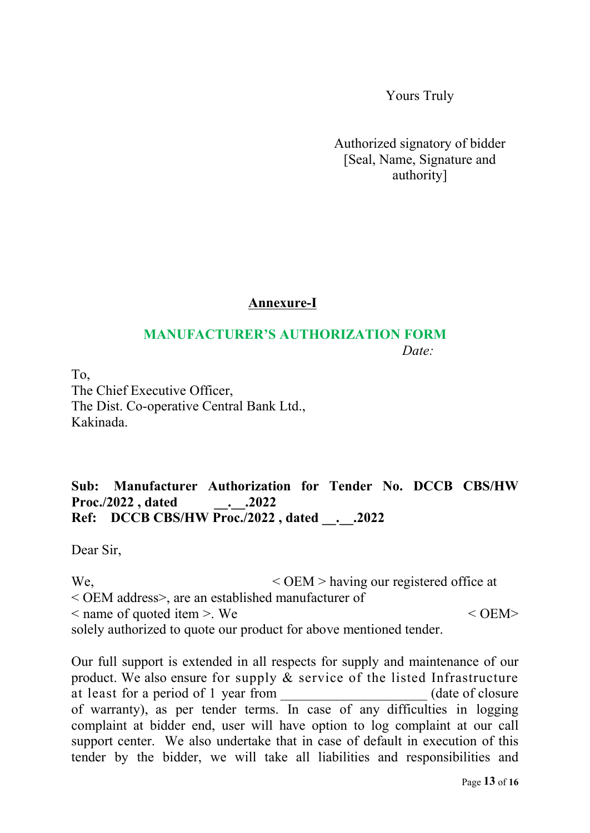Yours Truly

Authorized signatory of bidder [Seal, Name, Signature and authority]

## **Annexure-I**

#### **MANUFACTURER'S AUTHORIZATION FORM** *Date:*

To, The Chief Executive Officer, The Dist. Co-operative Central Bank Ltd., Kakinada.

## **Sub: Manufacturer Authorization for Tender No. DCCB CBS/HW Proc./2022 , dated \_\_.\_\_.2022 Ref: DCCB CBS/HW Proc./2022 , dated \_\_.\_\_.2022**

Dear Sir,

We,  $\le$  OEM > having our registered office at < OEM address>, are an established manufacturer of  $\leq$  name of quoted item  $>$ . We  $\leq$  0EM $>$ solely authorized to quote our product for above mentioned tender.

Our full support is extended in all respects for supply and maintenance of our product. We also ensure for supply & service of the listed Infrastructure at least for a period of 1 year from \_\_\_\_\_\_\_\_\_\_\_\_\_\_\_\_\_\_\_\_\_ (date of closure of warranty), as per tender terms. In case of any difficulties in logging complaint at bidder end, user will have option to log complaint at our call support center. We also undertake that in case of default in execution of this tender by the bidder, we will take all liabilities and responsibilities and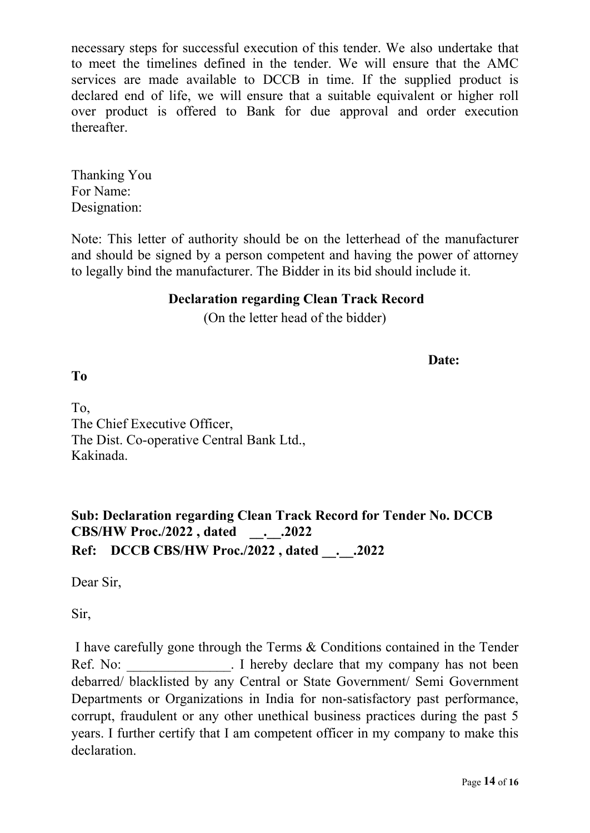necessary steps for successful execution of this tender. We also undertake that to meet the timelines defined in the tender. We will ensure that the AMC services are made available to DCCB in time. If the supplied product is declared end of life, we will ensure that a suitable equivalent or higher roll over product is offered to Bank for due approval and order execution thereafter.

Thanking You For Name: Designation:

Note: This letter of authority should be on the letterhead of the manufacturer and should be signed by a person competent and having the power of attorney to legally bind the manufacturer. The Bidder in its bid should include it.

#### **Declaration regarding Clean Track Record**

(On the letter head of the bidder)

**Date:**

**To**

To, The Chief Executive Officer, The Dist. Co-operative Central Bank Ltd., Kakinada.

**Sub: Declaration regarding Clean Track Record for Tender No. DCCB CBS/HW Proc./2022 , dated \_\_.\_\_.2022 Ref: DCCB CBS/HW Proc./2022 , dated \_\_.\_\_.2022**

Dear Sir,

Sir,

I have carefully gone through the Terms & Conditions contained in the Tender Ref. No: Fig. 1 hereby declare that my company has not been debarred/ blacklisted by any Central or State Government/ Semi Government Departments or Organizations in India for non-satisfactory past performance, corrupt, fraudulent or any other unethical business practices during the past 5 years. I further certify that I am competent officer in my company to make this declaration.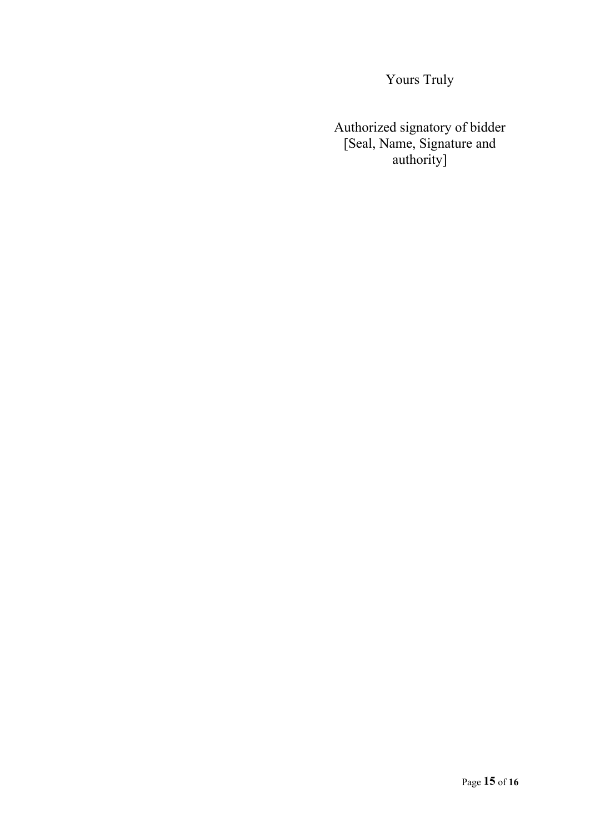Yours Truly

Authorized signatory of bidder [Seal, Name, Signature and authority]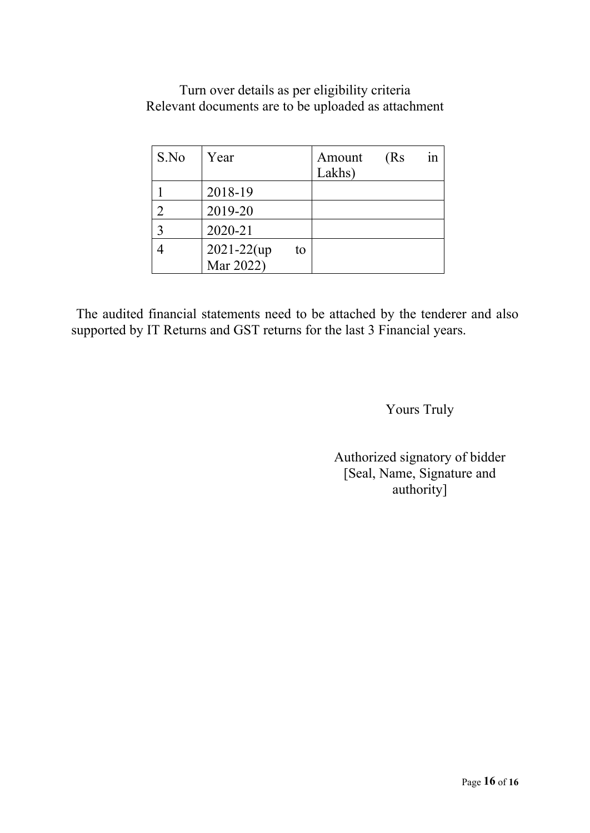| Turn over details as per eligibility criteria       |  |
|-----------------------------------------------------|--|
| Relevant documents are to be uploaded as attachment |  |

| S.No                        | Year            |    | Amount<br>Lakhs) | (Rs) | 1n |
|-----------------------------|-----------------|----|------------------|------|----|
|                             | 2018-19         |    |                  |      |    |
| $\mathcal{D}_{\mathcal{L}}$ | 2019-20         |    |                  |      |    |
| 3                           | 2020-21         |    |                  |      |    |
|                             | $2021 - 22$ (up | to |                  |      |    |
|                             | Mar 2022)       |    |                  |      |    |

The audited financial statements need to be attached by the tenderer and also supported by IT Returns and GST returns for the last 3 Financial years.

## Yours Truly

Authorized signatory of bidder [Seal, Name, Signature and authority]